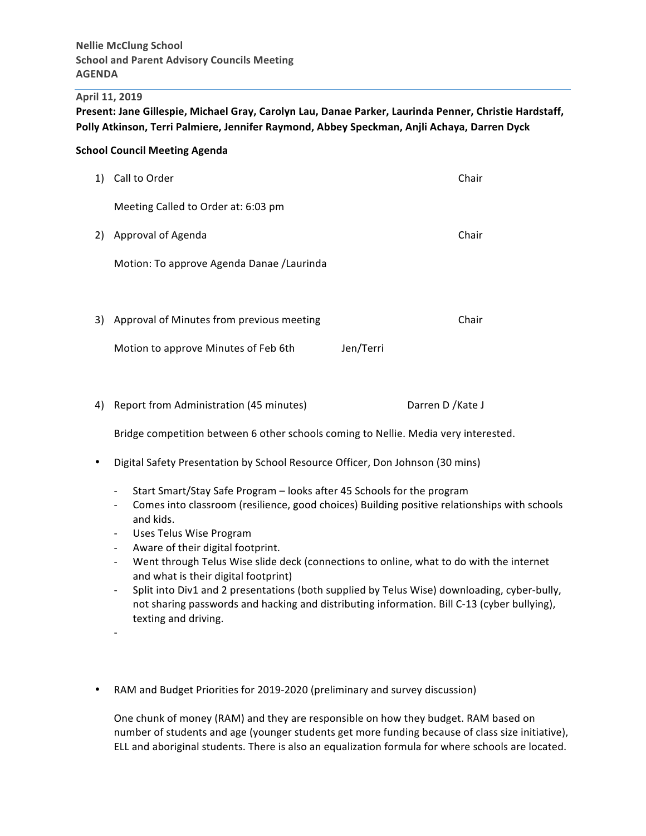#### **April 11, 2019**

Present: Jane Gillespie, Michael Gray, Carolyn Lau, Danae Parker, Laurinda Penner, Christie Hardstaff, Polly Atkinson, Terri Palmiere, Jennifer Raymond, Abbey Speckman, Anjli Achaya, Darren Dyck

### **School Council Meeting Agenda**

| 1) | Call to Order                              |           | Chair |
|----|--------------------------------------------|-----------|-------|
|    | Meeting Called to Order at: 6:03 pm        |           |       |
| 2) | Approval of Agenda                         |           | Chair |
|    | Motion: To approve Agenda Danae / Laurinda |           |       |
|    |                                            |           |       |
| 3) | Approval of Minutes from previous meeting  |           | Chair |
|    | Motion to approve Minutes of Feb 6th       | Jen/Terri |       |

4) Report from Administration (45 minutes) Darren D /Kate J

Bridge competition between 6 other schools coming to Nellie. Media very interested.

- Digital Safety Presentation by School Resource Officer, Don Johnson (30 mins)
	- Start Smart/Stay Safe Program looks after 45 Schools for the program
	- Comes into classroom (resilience, good choices) Building positive relationships with schools and kids.
	- Uses Telus Wise Program

-

- Aware of their digital footprint.
- Went through Telus Wise slide deck (connections to online, what to do with the internet and what is their digital footprint)
- Split into Div1 and 2 presentations (both supplied by Telus Wise) downloading, cyber-bully, not sharing passwords and hacking and distributing information. Bill C-13 (cyber bullying), texting and driving.
- RAM and Budget Priorities for 2019-2020 (preliminary and survey discussion)

One chunk of money (RAM) and they are responsible on how they budget. RAM based on number of students and age (younger students get more funding because of class size initiative), ELL and aboriginal students. There is also an equalization formula for where schools are located.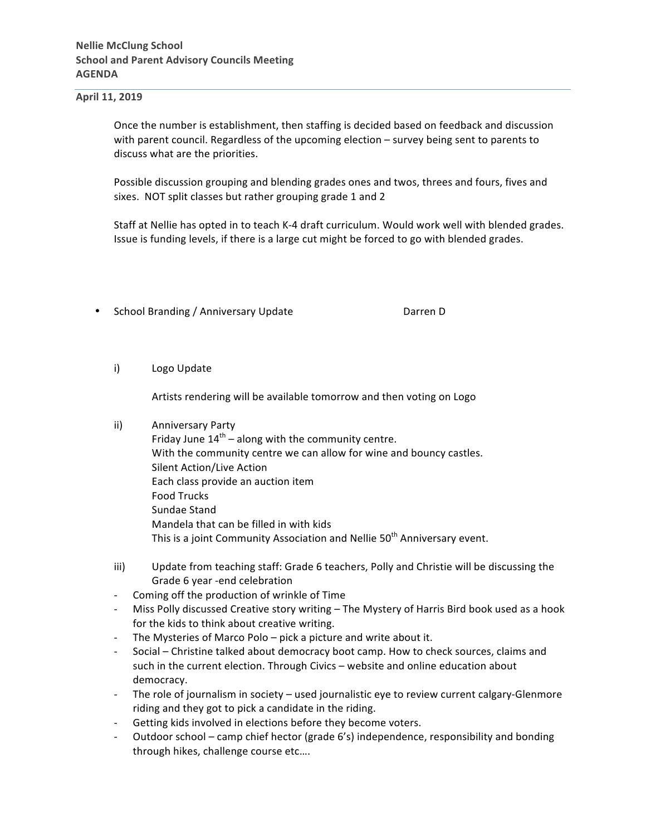### **April 11, 2019**

Once the number is establishment, then staffing is decided based on feedback and discussion with parent council. Regardless of the upcoming election - survey being sent to parents to discuss what are the priorities.

Possible discussion grouping and blending grades ones and twos, threes and fours, fives and sixes. NOT split classes but rather grouping grade 1 and 2

Staff at Nellie has opted in to teach K-4 draft curriculum. Would work well with blended grades. Issue is funding levels, if there is a large cut might be forced to go with blended grades.

- School Branding / Anniversary Update **by Constanting** Darren D
	- i) Logo Update

Artists rendering will be available tomorrow and then voting on Logo

### ii) Anniversary Party

- Friday June  $14<sup>th</sup>$  along with the community centre. With the community centre we can allow for wine and bouncy castles. Silent Action/Live Action Each class provide an auction item Food Trucks Sundae Stand Mandela that can be filled in with kids This is a joint Community Association and Nellie 50<sup>th</sup> Anniversary event.
- iii) Update from teaching staff: Grade 6 teachers, Polly and Christie will be discussing the Grade 6 year -end celebration
- Coming off the production of wrinkle of Time
- Miss Polly discussed Creative story writing The Mystery of Harris Bird book used as a hook for the kids to think about creative writing.
- The Mysteries of Marco Polo pick a picture and write about it.
- Social Christine talked about democracy boot camp. How to check sources, claims and such in the current election. Through Civics – website and online education about democracy.
- The role of journalism in society used journalistic eye to review current calgary-Glenmore riding and they got to pick a candidate in the riding.
- Getting kids involved in elections before they become voters.
- Outdoor school camp chief hector (grade  $6's$ ) independence, responsibility and bonding through hikes, challenge course etc....